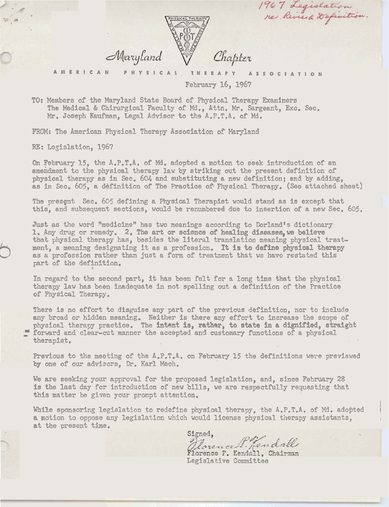

**AMERICAN PHYSICAL, THERAPY ASSOCIATION**  February 16, 1967

1967 Legislation

TO: Members of the Maryland **State** Board of Physical Therapy Ekaminsrs The Medical & Chirurgical Faculty of Md., Attn. Mr. Sargeant, Exc. Sec. Ar. Joseph Kaufman. Legal Advisor to the A.P.T.A. of Md.

FROM: The American Physical. Therapy Association of Maryland

RE: Legislation, **196'7** 

On February 15, the A.P.T.A. of Md. adopted a motion to seek introduction of an amehdment to the physical therapy law by striking out the present definition of physical therapy as in **See. 604.** and substituting a new definition; and by adding, as in Sec. 605, a definition of The Practice of Physical Therapy. (See attached sheet)

The present Sec. 605 defining a Physical Therapist would stand as is except that this, and subsequent sections, would be renumbered due to insertion of a new Sec. 605.

Just as the word "medicine" has two meanings according to Dorland's dictionary Just as the word "medicine" has two meanings according to Dorland's dictionar<br>1. Any drug or remedy. 2. The art or science of healing diseases,we believe that physical therapy has, besides the literal translation **meaning** physical treatment, a meaning designating it as a profession. It is to define physical therapy as a profession rather than just a form of treatment that we have restated this part of the definition.

In regard to the second part, it has been felt for a long time that the physical therapy **law** has been inadequate ia not spelling out a definition of the Practice of Pnysical Therapy.

There is no effort to disguise **any** part of the previous definition, nor to izclude any broad or hidden meaning. Neither is there any effort to increase the scope of physical therapy practice. The intent is, rather, to state in a dignified, straight forward and clear-cut manner the accepted and customary functions of a physical therapist.

Previous to the meeting of the A.P.T.A. on February 15 the definitions were previewed by one of our advisors. Dr. Karl Mech.

We are seeking your approval for the proposed legislation, and, since February 28 is the last day for introduction of new bills, we are respectfully requesting that this matter be **given** your prompt attention.

While sponsoring legislation to redefine physical therapy, the A.P.T.A. of Md. adopted a **motion** to **oppose** any **legislation** which would license physical t'nerspy assistants, at the present time.

Signed, Derence F. Jendall<br>Florence P. Kendall, Chairman<br>Legislative Committee

I I